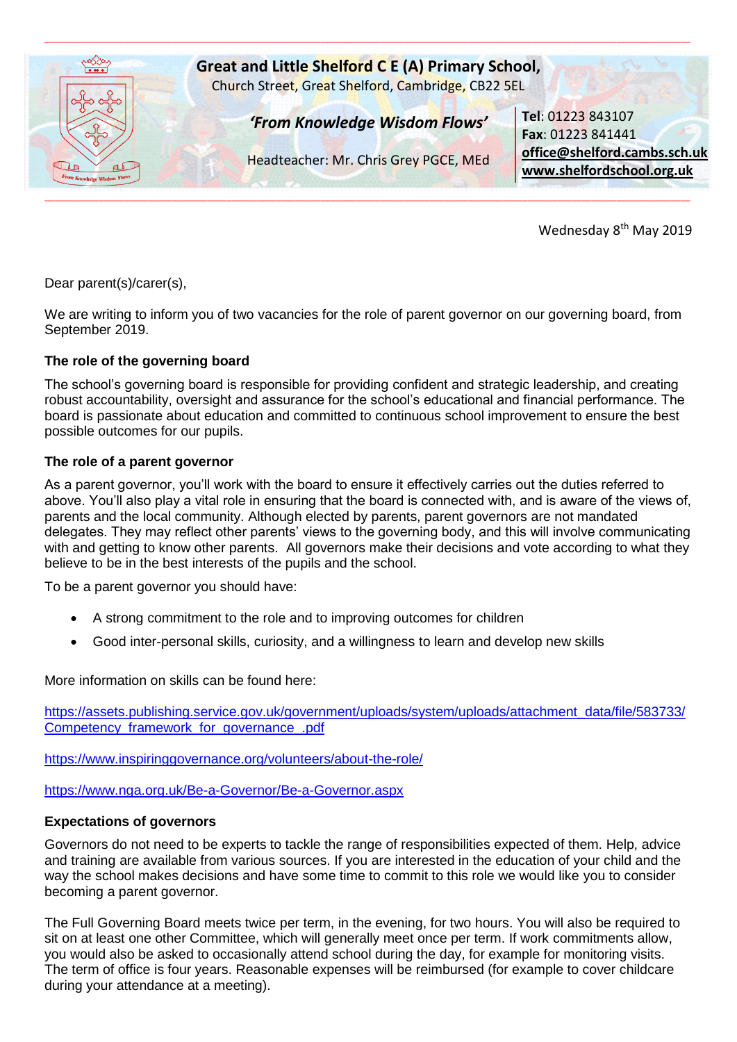

Wednesday 8<sup>th</sup> May 2019

Dear parent(s)/carer(s),

We are writing to inform you of two vacancies for the role of parent governor on our governing board, from September 2019.

## **The role of the governing board**

The school's governing board is responsible for providing confident and strategic leadership, and creating robust accountability, oversight and assurance for the school's educational and financial performance. The board is passionate about education and committed to continuous school improvement to ensure the best possible outcomes for our pupils.

## **The role of a parent governor**

As a parent governor, you'll work with the board to ensure it effectively carries out the duties referred to above. You'll also play a vital role in ensuring that the board is connected with, and is aware of the views of, parents and the local community. Although elected by parents, parent governors are not mandated delegates. They may reflect other parents' views to the governing body, and this will involve communicating with and getting to know other parents. All governors make their decisions and vote according to what they believe to be in the best interests of the pupils and the school.

To be a parent governor you should have:

- A strong commitment to the role and to improving outcomes for children
- Good inter-personal skills, curiosity, and a willingness to learn and develop new skills

More information on skills can be found here:

[https://assets.publishing.service.gov.uk/government/uploads/system/uploads/attachment\\_data/file/583733/](https://assets.publishing.service.gov.uk/government/uploads/system/uploads/attachment_data/file/583733/Competency_framework_for_governance_.pdf) Competency framework for governance .pdf

<https://www.inspiringgovernance.org/volunteers/about-the-role/>

<https://www.nga.org.uk/Be-a-Governor/Be-a-Governor.aspx>

## **Expectations of governors**

Governors do not need to be experts to tackle the range of responsibilities expected of them. Help, advice and training are available from various sources. If you are interested in the education of your child and the way the school makes decisions and have some time to commit to this role we would like you to consider becoming a parent governor.

The Full Governing Board meets twice per term, in the evening, for two hours. You will also be required to sit on at least one other Committee, which will generally meet once per term. If work commitments allow, you would also be asked to occasionally attend school during the day, for example for monitoring visits. The term of office is four years. Reasonable expenses will be reimbursed (for example to cover childcare during your attendance at a meeting).